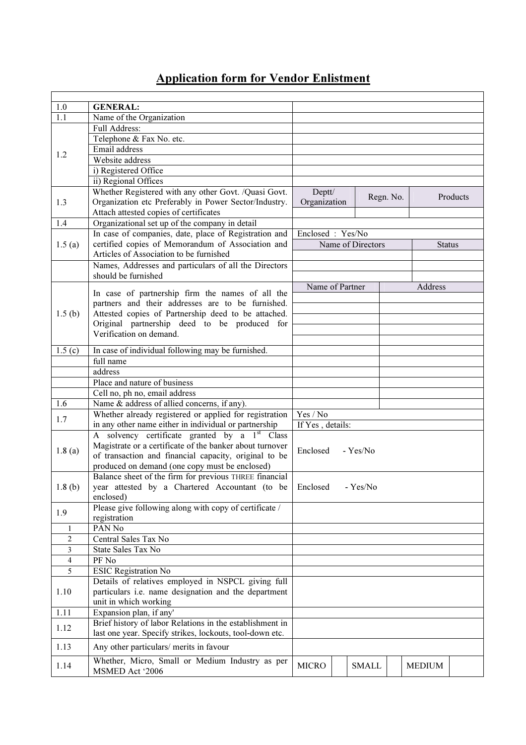## Application form for Vendor Enlistment

| 1.0            | <b>GENERAL:</b>                                                              |                                       |  |              |               |               |          |
|----------------|------------------------------------------------------------------------------|---------------------------------------|--|--------------|---------------|---------------|----------|
| 1.1            | Name of the Organization                                                     |                                       |  |              |               |               |          |
|                | <b>Full Address:</b>                                                         |                                       |  |              |               |               |          |
| 1.2            | Telephone & Fax No. etc.                                                     |                                       |  |              |               |               |          |
|                | Email address                                                                |                                       |  |              |               |               |          |
|                | Website address                                                              |                                       |  |              |               |               |          |
|                | i) Registered Office                                                         |                                       |  |              |               |               |          |
|                | ii) Regional Offices                                                         |                                       |  |              |               |               |          |
|                | Whether Registered with any other Govt. /Quasi Govt.                         | Deptt/                                |  |              |               |               |          |
| 1.3            | Organization etc Preferably in Power Sector/Industry.                        | Organization                          |  |              | Regn. No.     |               | Products |
|                | Attach attested copies of certificates                                       |                                       |  |              |               |               |          |
| 1.4            | Organizational set up of the company in detail                               |                                       |  |              |               |               |          |
|                | In case of companies, date, place of Registration and                        |                                       |  |              |               |               |          |
| 1.5(a)         | certified copies of Memorandum of Association and                            | Enclosed: Yes/No<br>Name of Directors |  |              | <b>Status</b> |               |          |
|                | Articles of Association to be furnished                                      |                                       |  |              |               |               |          |
|                |                                                                              |                                       |  |              |               |               |          |
|                | Names, Addresses and particulars of all the Directors<br>should be furnished |                                       |  |              |               |               |          |
|                |                                                                              |                                       |  |              |               |               |          |
|                | In case of partnership firm the names of all the                             | Name of Partner                       |  |              |               | Address       |          |
|                | partners and their addresses are to be furnished.                            |                                       |  |              |               |               |          |
| 1.5(b)         | Attested copies of Partnership deed to be attached.                          |                                       |  |              |               |               |          |
|                | Original partnership deed to be produced for                                 |                                       |  |              |               |               |          |
|                | Verification on demand.                                                      |                                       |  |              |               |               |          |
|                |                                                                              |                                       |  |              |               |               |          |
| 1.5(c)         | In case of individual following may be furnished.                            |                                       |  |              |               |               |          |
|                | full name                                                                    |                                       |  |              |               |               |          |
|                | address                                                                      |                                       |  |              |               |               |          |
|                | Place and nature of business                                                 |                                       |  |              |               |               |          |
|                | Cell no, ph no, email address                                                |                                       |  |              |               |               |          |
| 1.6            | Name & address of allied concerns, if any).                                  |                                       |  |              |               |               |          |
| 1.7            | Whether already registered or applied for registration                       | Yes / No                              |  |              |               |               |          |
|                | in any other name either in individual or partnership                        | If Yes, details:                      |  |              |               |               |          |
|                | A solvency certificate granted by a 1 <sup>st</sup> Class                    |                                       |  |              |               |               |          |
|                | Magistrate or a certificate of the banker about turnover                     |                                       |  |              |               |               |          |
| 1.8(a)         | of transaction and financial capacity, original to be                        | Enclosed                              |  | - Yes/No     |               |               |          |
|                | produced on demand (one copy must be enclosed)                               |                                       |  |              |               |               |          |
|                | Balance sheet of the firm for previous THREE financial                       |                                       |  |              |               |               |          |
| 1.8(b)         | year attested by a Chartered Accountant (to be Enclosed - Yes/No             |                                       |  |              |               |               |          |
|                | enclosed)                                                                    |                                       |  |              |               |               |          |
|                | Please give following along with copy of certificate /                       |                                       |  |              |               |               |          |
| 1.9            | registration                                                                 |                                       |  |              |               |               |          |
| $\mathbf{1}$   | PAN No                                                                       |                                       |  |              |               |               |          |
| 2              | Central Sales Tax No                                                         |                                       |  |              |               |               |          |
| $\mathfrak{Z}$ | State Sales Tax No                                                           |                                       |  |              |               |               |          |
| 4              | PF No                                                                        |                                       |  |              |               |               |          |
| 5              | <b>ESIC Registration No</b>                                                  |                                       |  |              |               |               |          |
|                | Details of relatives employed in NSPCL giving full                           |                                       |  |              |               |               |          |
| 1.10           | particulars i.e. name designation and the department                         |                                       |  |              |               |               |          |
|                | unit in which working                                                        |                                       |  |              |               |               |          |
| 1.11           | Expansion plan, if any'                                                      |                                       |  |              |               |               |          |
|                | Brief history of labor Relations in the establishment in                     |                                       |  |              |               |               |          |
| 1.12           | last one year. Specify strikes, lockouts, tool-down etc.                     |                                       |  |              |               |               |          |
| 1.13           | Any other particulars/ merits in favour                                      |                                       |  |              |               |               |          |
|                | Whether, Micro, Small or Medium Industry as per                              |                                       |  |              |               |               |          |
| 1.14           | MSMED Act '2006                                                              | <b>MICRO</b>                          |  | <b>SMALL</b> |               | <b>MEDIUM</b> |          |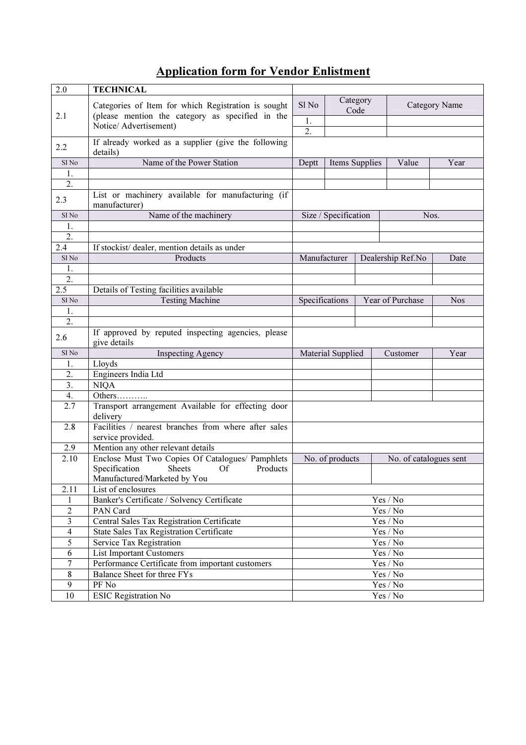## Application form for Vendor Enlistment

| 2.0                      | <b>TECHNICAL</b>                                                                                     |                                        |                      |                  |                                        |               |  |
|--------------------------|------------------------------------------------------------------------------------------------------|----------------------------------------|----------------------|------------------|----------------------------------------|---------------|--|
|                          | Categories of Item for which Registration is sought                                                  | Sl <sub>No</sub>                       | Category<br>Code     |                  |                                        | Category Name |  |
| 2.1                      | (please mention the category as specified in the<br>Notice/ Advertisement)                           |                                        |                      |                  |                                        |               |  |
|                          |                                                                                                      |                                        |                      |                  |                                        |               |  |
| 2.2                      | If already worked as a supplier (give the following<br>details)                                      |                                        |                      |                  |                                        |               |  |
| Sl <sub>No</sub>         | Name of the Power Station                                                                            | Deptt                                  | Items Supplies       |                  | Value                                  | Year          |  |
| 1.                       |                                                                                                      |                                        |                      |                  |                                        |               |  |
| 2.                       |                                                                                                      |                                        |                      |                  |                                        |               |  |
| 2.3                      | List or machinery available for manufacturing (if<br>manufacturer)                                   |                                        |                      |                  |                                        |               |  |
| Sl <sub>No</sub>         | Name of the machinery                                                                                |                                        | Size / Specification |                  | Nos.                                   |               |  |
| 1.                       |                                                                                                      |                                        |                      |                  |                                        |               |  |
| $\overline{2}$ .         |                                                                                                      |                                        |                      |                  |                                        |               |  |
| 2.4                      | If stockist/ dealer, mention details as under                                                        |                                        |                      |                  |                                        |               |  |
| Sl <sub>No</sub>         | Products                                                                                             | Manufacturer                           |                      |                  | Dealership Ref.No<br>Date              |               |  |
| 1.                       |                                                                                                      |                                        |                      |                  |                                        |               |  |
| 2.                       |                                                                                                      |                                        |                      |                  |                                        |               |  |
| $2.\overline{5}$         | Details of Testing facilities available                                                              |                                        |                      |                  |                                        |               |  |
| Sl <sub>No</sub>         | <b>Testing Machine</b>                                                                               | Specifications                         |                      | Year of Purchase | <b>Nos</b>                             |               |  |
| 1.                       |                                                                                                      |                                        |                      |                  |                                        |               |  |
| $\overline{2}$ .         |                                                                                                      |                                        |                      |                  |                                        |               |  |
| 2.6                      | If approved by reputed inspecting agencies, please<br>give details                                   |                                        |                      |                  |                                        |               |  |
| Sl <sub>No</sub>         | <b>Inspecting Agency</b>                                                                             |                                        | Material Supplied    |                  | Customer                               | Year          |  |
| 1.                       | Lloyds                                                                                               |                                        |                      |                  |                                        |               |  |
| 2.                       | Engineers India Ltd                                                                                  |                                        |                      |                  |                                        |               |  |
| 3.                       | <b>NIQA</b>                                                                                          |                                        |                      |                  |                                        |               |  |
| 4.                       | Others                                                                                               |                                        |                      |                  |                                        |               |  |
| 2.7                      | Transport arrangement Available for effecting door<br>delivery                                       |                                        |                      |                  |                                        |               |  |
| 2.8                      | Facilities / nearest branches from where after sales                                                 |                                        |                      |                  |                                        |               |  |
|                          | service provided.                                                                                    |                                        |                      |                  |                                        |               |  |
| 2.9                      | Mention any other relevant details                                                                   |                                        |                      |                  |                                        |               |  |
| 2.10                     | Enclose Must Two Copies Of Catalogues/ Pamphlets<br>Specification<br><b>Sheets</b><br>Of<br>Products | No. of products                        |                      |                  | No. of catalogues sent                 |               |  |
|                          | Manufactured/Marketed by You                                                                         |                                        |                      |                  |                                        |               |  |
| 2.11                     | List of enclosures                                                                                   |                                        |                      |                  |                                        |               |  |
| 1                        | Banker's Certificate / Solvency Certificate                                                          |                                        |                      |                  |                                        |               |  |
| $\overline{2}$           | PAN Card                                                                                             | Yes / No<br>Yes / No                   |                      |                  |                                        |               |  |
| $\overline{\mathbf{3}}$  | Central Sales Tax Registration Certificate                                                           | Yes / No                               |                      |                  |                                        |               |  |
| $\overline{\mathcal{A}}$ | State Sales Tax Registration Certificate                                                             | Yes / No                               |                      |                  |                                        |               |  |
| $\overline{5}$           | Service Tax Registration                                                                             | $\operatorname{Yes}/\operatorname{No}$ |                      |                  |                                        |               |  |
| 6                        | <b>List Important Customers</b>                                                                      | Yes / No                               |                      |                  |                                        |               |  |
| $\overline{7}$           | Performance Certificate from important customers                                                     | Yes / No                               |                      |                  |                                        |               |  |
| 8                        | Balance Sheet for three FYs                                                                          | $\operatorname{Yes}/\operatorname{No}$ |                      |                  |                                        |               |  |
| $\overline{9}$           | PF No                                                                                                | $\operatorname{Yes}/\operatorname{No}$ |                      |                  |                                        |               |  |
| $\overline{10}$          | <b>ESIC Registration No</b>                                                                          |                                        |                      |                  | $\operatorname{Yes}/\operatorname{No}$ |               |  |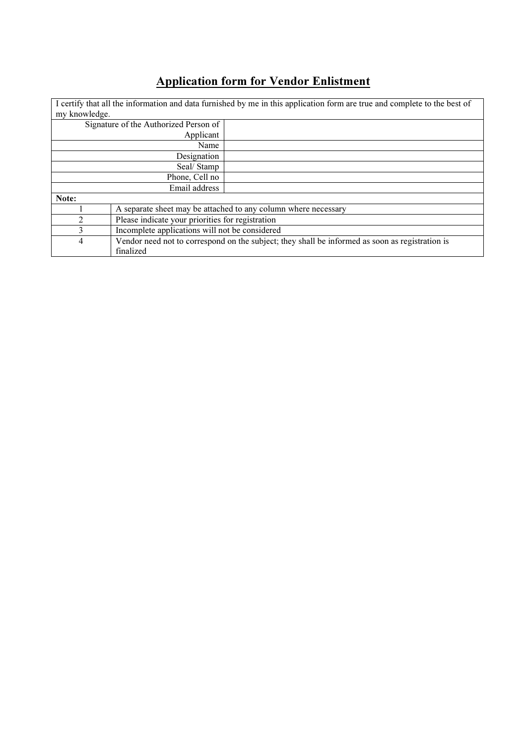## Application form for Vendor Enlistment

| my knowledge.               |                                                                                                 | I certify that all the information and data furnished by me in this application form are true and complete to the best of |  |  |
|-----------------------------|-------------------------------------------------------------------------------------------------|---------------------------------------------------------------------------------------------------------------------------|--|--|
|                             | Signature of the Authorized Person of                                                           |                                                                                                                           |  |  |
|                             | Applicant                                                                                       |                                                                                                                           |  |  |
|                             | Name                                                                                            |                                                                                                                           |  |  |
|                             | Designation                                                                                     |                                                                                                                           |  |  |
|                             | Seal/Stamp                                                                                      |                                                                                                                           |  |  |
|                             | Phone, Cell no                                                                                  |                                                                                                                           |  |  |
|                             | Email address                                                                                   |                                                                                                                           |  |  |
| Note:                       |                                                                                                 |                                                                                                                           |  |  |
|                             |                                                                                                 | A separate sheet may be attached to any column where necessary                                                            |  |  |
| $\mathcal{D}_{\mathcal{L}}$ | Please indicate your priorities for registration                                                |                                                                                                                           |  |  |
| 3                           | Incomplete applications will not be considered                                                  |                                                                                                                           |  |  |
| 4                           | Vendor need not to correspond on the subject; they shall be informed as soon as registration is |                                                                                                                           |  |  |
|                             | finalized                                                                                       |                                                                                                                           |  |  |